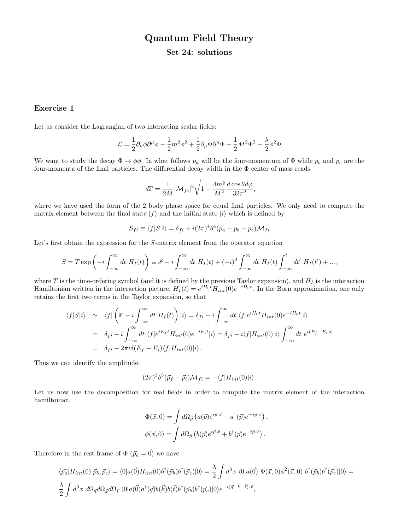# Quantum Field Theory

## Set 24: solutions

## Exercise 1

Let us consider the Lagrangian of two interacting scalar fields:

$$
\mathcal{L}=\frac{1}{2}\partial_{\mu}\phi\partial^{\mu}\phi-\frac{1}{2}m^2\phi^2+\frac{1}{2}\partial_{\mu}\Phi\partial^{\mu}\Phi-\frac{1}{2}M^2\Phi^2-\frac{\lambda}{2}\phi^2\Phi.
$$

We want to study the decay  $\Phi \to \phi\phi$ . In what follows  $p_a$  will be the four-momentum of  $\Phi$  while  $p_b$  and  $p_c$  are the four-momenta of the final particles. The differential decay width in the  $\Phi$  center of mass reads

$$
d\Gamma = \frac{1}{2M} |\mathcal{M}_{fi}|^2 \sqrt{1 - \frac{4m^2}{M^2}} \frac{d\cos\theta d\varphi}{32\pi^2},
$$

where we have used the form of the 2 body phase space for equal final particles. We only need to compute the matrix element between the final state  $|f\rangle$  and the initial state  $|i\rangle$  which is defined by

$$
S_{fi} \equiv \langle f|S|i\rangle = \delta_{fi} + i(2\pi)^4 \delta^4 (p_a - p_b - p_c) \mathcal{M}_{fi}.
$$

Let's first obtain the expression for the S-matrix element from the operator equation

$$
S = T \exp\left(-i \int_{-\infty}^{\infty} dt \ H_I(t)\right) \equiv \mathbb{1} - i \int_{-\infty}^{\infty} dt \ H_I(t) + (-i)^2 \int_{-\infty}^{\infty} dt \ H_I(t) \int_{-\infty}^t dt' \ H_I(t') + ...,
$$

where  $T$  is the time-ordering symbol (and it is defined by the previous Taylor expansion), and  $H_I$  is the interaction Hamiltonian written in the interaction picture,  $H_I(t) = e^{iH_0t} H_{int}(0)e^{-iH_0t}$ . In the Born approximation, one only retains the first two terms in the Taylor expansion, so that

$$
\langle f|S|i\rangle \simeq \langle f| \left( \mathbb{1} - i \int_{-\infty}^{\infty} dt \ H_I(t) \right) |i\rangle = \delta_{fi} - i \int_{-\infty}^{\infty} dt \ \langle f| e^{iH_0 t} H_{int}(0) e^{-iH_0 t} |i\rangle
$$
  
\n
$$
= \delta_{fi} - i \int_{-\infty}^{\infty} dt \ \langle f| e^{iE_f t} H_{int}(0) e^{-iE_i t} |i\rangle = \delta_{fi} - i \langle f| H_{int}(0) |i\rangle \int_{-\infty}^{\infty} dt \ e^{i(E_f - E_i)t}
$$
  
\n
$$
= \delta_{fi} - 2\pi i \delta(E_f - E_i) \langle f| H_{int}(0) |i\rangle.
$$

Thus we can identify the amplitude:

$$
(2\pi)^3 \delta^3(\vec{p}_f - \vec{p}_i) \mathcal{M}_{fi} = -\langle f|H_{int}(0)|i\rangle.
$$

Let us now use the decomposition for real fields in order to compute the matrix element of the interaction hamiltonian.

$$
\Phi(\vec{x},0) = \int d\Omega_{\vec{p}} (a(\vec{p})e^{i\vec{p}\cdot\vec{x}} + a^{\dagger}(\vec{p})e^{-i\vec{p}\cdot\vec{x}}),
$$
  

$$
\phi(\vec{x},0) = \int d\Omega_{\vec{p}} (b(\vec{p})e^{i\vec{p}\cdot\vec{x}} + b^{\dagger}(\vec{p})e^{-i\vec{p}\cdot\vec{x}}).
$$

Therefore in the rest frame of  $\Phi(\vec{p}_a = \vec{0})$  we have

$$
\langle \vec{p_a} | H_{int}(0) | \vec{p_b}, \vec{p_c} \rangle = \langle 0 | a(\vec{0}) H_{int}(0) b^{\dagger} (\vec{p_b}) b^{\dagger} (\vec{p_c}) | 0 \rangle = \frac{\lambda}{2} \int d^3x \langle 0 | a(\vec{0}) \Phi(\vec{x}, 0) \phi^2(\vec{x}, 0) b^{\dagger} (\vec{p_b}) b^{\dagger} (\vec{p_c}) | 0 \rangle = \frac{\lambda}{2} \int d^3x d\Omega_{\vec{q}} d\Omega_{\vec{k}} d\Omega_{\vec{t}} \langle 0 | a(\vec{0}) a^{\dagger} (\vec{q}) b(\vec{k}) b(\vec{t}) b^{\dagger} (\vec{p_b}) b^{\dagger} (\vec{p_c}) | 0 \rangle e^{-i(\vec{q} - \vec{k} - \vec{t}) \cdot \vec{x}},
$$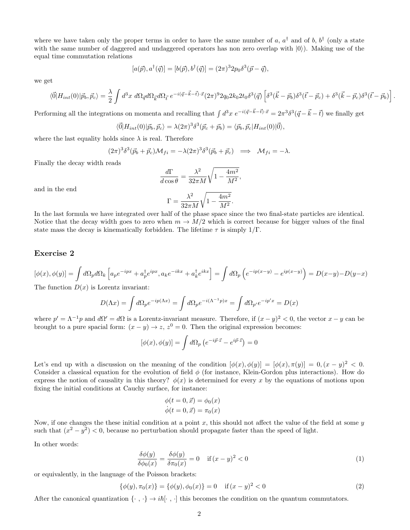where we have taken only the proper terms in order to have the same number of a,  $a^{\dagger}$  and of b,  $b^{\dagger}$  (only a state with the same number of daggered and undaggered operators has non zero overlap with  $|0\rangle$ ). Making use of the equal time commutation relations

$$
[a(\vec{p}), a^{\dagger}(\vec{q})] = [b(\vec{p}), b^{\dagger}(\vec{q})] = (2\pi)^3 2p_0 \delta^3(\vec{p} - \vec{q}),
$$

we get

$$
\langle \vec{0} | H_{int}(0) | \vec{p}_b, \vec{p}_c \rangle = \frac{\lambda}{2} \int d^3x \ d\Omega_{\vec{q}} d\Omega_{\vec{k}} d\Omega_{\vec{t}} e^{-i(\vec{q}-\vec{k}-\vec{t})\cdot \vec{x}} (2\pi)^9 2q_0 2k_0 2k_0 \delta^3(\vec{q}) \left[ \delta^3(\vec{k}-\vec{p}_b) \delta^3(\vec{t}-\vec{p}_c) + \delta^3(\vec{k}-\vec{p}_c) \delta^3(\vec{t}-\vec{p}_b) \right].
$$

Performing all the integrations on momenta and recalling that  $\int d^3x \ e^{-i(\vec{q}-\vec{k}-\vec{t})\cdot\vec{x}} = 2\pi^3 \delta^3(\vec{q}-\vec{k}-\vec{t})$  we finally get

$$
\langle \vec{0} | H_{int}(0) | \vec{p}_b, \vec{p}_c \rangle = \lambda (2\pi)^3 \delta^3(\vec{p}_c + \vec{p}_b) = \langle \vec{p}_b, \vec{p}_c | H_{int}(0) | \vec{0} \rangle,
$$

where the last equality holds since  $\lambda$  is real. Therefore

$$
(2\pi)^3 \delta^3(\vec{p}_b + \vec{p}_c) \mathcal{M}_{fi} = -\lambda (2\pi)^3 \delta^3(\vec{p}_b + \vec{p}_c) \implies \mathcal{M}_{fi} = -\lambda.
$$

Finally the decay width reads

$$
\frac{d\Gamma}{d\cos\theta} = \frac{\lambda^2}{32\pi M} \sqrt{1 - \frac{4m^2}{M^2}},
$$
  

$$
\Gamma = \frac{\lambda^2}{32\pi M} \sqrt{1 - \frac{4m^2}{M^2}}.
$$

and in the end

In the last formula we have integrated over half of the phase space since the two final-state particles are identical. Notice that the decay width goes to zero when  $m \to M/2$  which is correct because for bigger values of the final state mass the decay is kinematically forbidden. The lifetime  $\tau$  is simply  $1/\Gamma$ .

#### Exercise 2

$$
[\phi(x), \phi(y)] = \int d\Omega_p d\Omega_k \left[ a_p e^{-ipx} + a_p^{\dagger} e^{ipx}, a_k e^{-ikx} + a_k^{\dagger} e^{ikx} \right] = \int d\Omega_p \left( e^{-ip(x-y)} - e^{ip(x-y)} \right) = D(x-y) - D(y-x)
$$

The function  $D(x)$  is Lorentz invariant:

$$
D(\Lambda x) = \int d\Omega_p e^{-ip(\Lambda x)} = \int d\Omega_p e^{-i(\Lambda^{-1}p)x} = \int d\Omega_{p'} e^{-ip'x} = D(x)
$$

where  $p' = \Lambda^{-1}p$  and  $d\Omega' = d\Omega$  is a Lorentz-invariant measure. Therefore, if  $(x - y)^2 < 0$ , the vector  $x - y$  can be brought to a pure spacial form:  $(x - y) \rightarrow z$ ,  $z<sup>0</sup> = 0$ . Then the original expression becomes:

$$
[\phi(x), \phi(y)] = \int d\Omega_p \left( e^{-i\vec{p}\cdot\vec{z}} - e^{i\vec{p}\cdot\vec{z}} \right) = 0
$$

Let's end up with a discussion on the meaning of the condition  $[\phi(x), \phi(y)] = [\phi(x), \pi(y)] = 0, (x - y)^2 < 0$ . Consider a classical equation for the evolution of field  $\phi$  (for instance, Klein-Gordon plus interactions). How do express the notion of causality in this theory?  $\phi(x)$  is determined for every x by the equations of motions upon fixing the initial conditions at Cauchy surface, for instance:

$$
\begin{aligned}\n\phi(t=0,\vec{x}) &= \phi_0(x) \\
\dot{\phi}(t=0,\vec{x}) &= \pi_0(x)\n\end{aligned}
$$

Now, if one changes the these initial condition at a point  $x$ , this should not affect the value of the field at some  $y$ such that  $(x^2 - y^2) < 0$ , because no perturbation should propagate faster than the speed of light.

In other words:

$$
\frac{\delta\phi(y)}{\delta\phi_0(x)} = \frac{\delta\phi(y)}{\delta\pi_0(x)} = 0 \quad \text{if } (x - y)^2 < 0
$$
\n(1)

or equivalently, in the language of the Poisson brackets:

$$
\{\phi(y), \pi_0(x)\} = \{\phi(y), \phi_0(x)\} = 0 \quad \text{if } (x - y)^2 < 0 \tag{2}
$$

After the canonical quantization  $\{\cdot, \cdot\} \to i\hbar[\cdot, \cdot]$  this becomes the condition on the quantum commutators.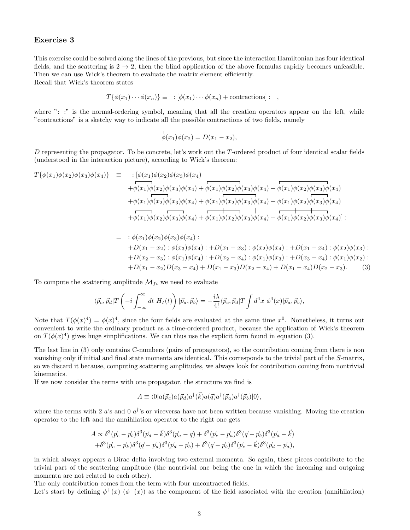### Exercise 3

This exercise could be solved along the lines of the previous, but since the interaction Hamiltonian has four identical fields, and the scattering is  $2 \rightarrow 2$ , then the blind application of the above formulas rapidly becomes unfeasible. Then we can use Wick's theorem to evaluate the matrix element efficiently.

Recall that Wick's theorem states

$$
T\{\phi(x_1)\cdots\phi(x_n)\}\equiv\;:\,[\phi(x_1)\cdots\phi(x_n)+\text{contractions}]:\;,
$$

where ": :" is the normal-ordering symbol, meaning that all the creation operators appear on the left, while "contractions" is a sketchy way to indicate all the possible contractions of two fields, namely

$$
\overline{\phi(x_1)}\phi(x_2) = D(x_1 - x_2),
$$

D representing the propagator. To be concrete, let's work out the  $T$ -ordered product of four identical scalar fields (understood in the interaction picture), according to Wick's theorem:

$$
T\{\phi(x_1)\phi(x_2)\phi(x_3)\phi(x_4)\} = \begin{array}{c} : [\phi(x_1)\phi(x_2)\phi(x_3)\phi(x_4) \\ + \phi(x_1)\phi(x_2)\phi(x_3)\phi(x_4) + \phi(x_1)\phi(x_2)\phi(x_3)\phi(x_4) + \phi(x_1)\phi(x_2)\phi(x_3)\phi(x_4) \\ + \phi(x_1)\phi(x_2)\phi(x_3)\phi(x_4) + \phi(x_1)\phi(x_2)\phi(x_3)\phi(x_4) + \phi(x_1)\phi(x_2)\phi(x_3)\phi(x_4) \\ + \phi(x_1)\phi(x_2)\phi(x_3)\phi(x_4) + \phi(x_1)\phi(x_2)\phi(x_3)\phi(x_4) + \phi(x_1)\phi(x_2)\phi(x_3)\phi(x_4) \end{array}
$$

$$
= : \phi(x_1)\phi(x_2)\phi(x_3)\phi(x_4):+D(x_1-x_2): \phi(x_3)\phi(x_4):+D(x_1-x_3): \phi(x_2)\phi(x_4):+D(x_1-x_4): \phi(x_2)\phi(x_3):+D(x_2-x_3): \phi(x_1)\phi(x_4):+D(x_2-x_4): \phi(x_1)\phi(x_3):+D(x_3-x_4): \phi(x_1)\phi(x_2):+D(x_1-x_2)D(x_3-x_4)+D(x_1-x_3)D(x_2-x_4)+D(x_1-x_4)D(x_2-x_3).
$$
 (3)

To compute the scattering amplitude  $\mathcal{M}_{fi}$  we need to evaluate

$$
\langle \vec{p_c}, \vec{p_d} | T\left(-i \int_{-\infty}^{\infty} dt \ H_I(t) \right) | \vec{p_a}, \vec{p_b} \rangle = -\frac{i\lambda}{4!} \langle \vec{p_c}, \vec{p_d} | T \int d^4x \ \phi^4(x) | \vec{p_a}, \vec{p_b} \rangle,
$$

Note that  $T(\phi(x)^4) = \phi(x)^4$ , since the four fields are evaluated at the same time  $x^0$ . Nonetheless, it turns out convenient to write the ordinary product as a time-ordered product, because the application of Wick's theorem on  $T(\phi(x)^4)$  gives huge simplifications. We can thus use the explicit form found in equation (3).

The last line in (3) only contains C-numbers (pairs of propagators), so the contribution coming from there is non vanishing only if initial and final state momenta are identical. This corresponds to the trivial part of the S-matrix, so we discard it because, computing scattering amplitudes, we always look for contribution coming from nontrivial kinematics.

If we now consider the terms with one propagator, the structure we find is

$$
A \equiv \langle 0|a(\vec{p}_c)a(\vec{p}_d)a^{\dagger}(\vec{k})a(\vec{q})a^{\dagger}(\vec{p}_a)a^{\dagger}(\vec{p}_b)|0\rangle,
$$

where the terms with 2  $a$ 's and 0  $a^{\dagger}$ 's or viceversa have not been written because vanishing. Moving the creation operator to the left and the annihilation operator to the right one gets

$$
A \propto \delta^{3}(\vec{p}_{c} - \vec{p}_{b})\delta^{3}(\vec{p}_{d} - \vec{k})\delta^{3}(\vec{p}_{a} - \vec{q}) + \delta^{3}(\vec{p}_{c} - \vec{p}_{a})\delta^{3}(\vec{q} - \vec{p}_{b})\delta^{3}(\vec{p}_{d} - \vec{k}) + \delta^{3}(\vec{p}_{c} - \vec{p}_{k})\delta^{3}(\vec{q} - \vec{p}_{a})\delta^{3}(\vec{p}_{d} - \vec{p}_{b}) + \delta^{3}(\vec{q} - \vec{p}_{b})\delta^{3}(\vec{p}_{c} - \vec{k})\delta^{3}(\vec{p}_{d} - \vec{p}_{a}),
$$

in which always appears a Dirac delta involving two external momenta. So again, these pieces contribute to the trivial part of the scattering amplitude (the nontrivial one being the one in which the incoming and outgoing momenta are not related to each other).

The only contribution comes from the term with four uncontracted fields.

Let's start by defining  $\phi^+(x)$  ( $\phi^-(x)$ ) as the component of the field associated with the creation (annihilation)